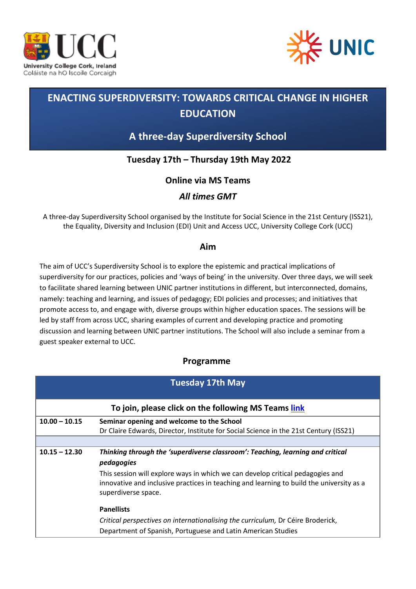



# **ENACTING SUPERDIVERSITY: TOWARDS CRITICAL CHANGE IN HIGHER EDUCATION**

# **A three-day Superdiversity School**

## **Tuesday 17th – Thursday 19th May 2022**

### **Online via MS Teams**

### *All times GMT*

A three-day Superdiversity School organised by the Institute for Social Science in the 21st Century (ISS21), the Equality, Diversity and Inclusion (EDI) Unit and Access UCC, University College Cork (UCC)

#### **Aim**

The aim of UCC's Superdiversity School is to explore the epistemic and practical implications of superdiversity for our practices, policies and 'ways of being' in the university. Over three days, we will seek to facilitate shared learning between UNIC partner institutions in different, but interconnected, domains, namely: teaching and learning, and issues of pedagogy; EDI policies and processes; and initiatives that promote access to, and engage with, diverse groups within higher education spaces. The sessions will be led by staff from across UCC, sharing examples of current and developing practice and promoting discussion and learning between UNIC partner institutions. The School will also include a seminar from a guest speaker external to UCC.

#### **Programme**

| <b>Tuesday 17th May</b>                              |                                                                                                                 |  |
|------------------------------------------------------|-----------------------------------------------------------------------------------------------------------------|--|
| To join, please click on the following MS Teams link |                                                                                                                 |  |
| $10.00 - 10.15$                                      | Seminar opening and welcome to the School                                                                       |  |
|                                                      | Dr Claire Edwards, Director, Institute for Social Science in the 21st Century (ISS21)                           |  |
|                                                      |                                                                                                                 |  |
| $10.15 - 12.30$                                      | Thinking through the 'superdiverse classroom': Teaching, learning and critical                                  |  |
|                                                      | pedagogies                                                                                                      |  |
|                                                      | This session will explore ways in which we can develop critical pedagogies and                                  |  |
|                                                      | innovative and inclusive practices in teaching and learning to build the university as a<br>superdiverse space. |  |
|                                                      | <b>Panellists</b>                                                                                               |  |
|                                                      | Critical perspectives on internationalising the curriculum, Dr Céire Broderick,                                 |  |
|                                                      | Department of Spanish, Portuguese and Latin American Studies                                                    |  |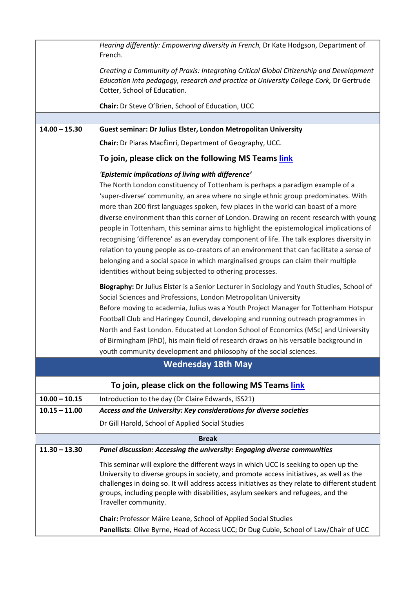|                                                      | Hearing differently: Empowering diversity in French, Dr Kate Hodgson, Department of<br>French.                                                                                                                                                                                                                                                                                                                                                                                                                                                                                                                                                                                                                                                                                                                                                                                                                                                                                                                                                                                                         |  |
|------------------------------------------------------|--------------------------------------------------------------------------------------------------------------------------------------------------------------------------------------------------------------------------------------------------------------------------------------------------------------------------------------------------------------------------------------------------------------------------------------------------------------------------------------------------------------------------------------------------------------------------------------------------------------------------------------------------------------------------------------------------------------------------------------------------------------------------------------------------------------------------------------------------------------------------------------------------------------------------------------------------------------------------------------------------------------------------------------------------------------------------------------------------------|--|
|                                                      | Creating a Community of Praxis: Integrating Critical Global Citizenship and Development<br>Education into pedagogy, research and practice at University College Cork, Dr Gertrude<br>Cotter, School of Education.                                                                                                                                                                                                                                                                                                                                                                                                                                                                                                                                                                                                                                                                                                                                                                                                                                                                                      |  |
|                                                      | Chair: Dr Steve O'Brien, School of Education, UCC                                                                                                                                                                                                                                                                                                                                                                                                                                                                                                                                                                                                                                                                                                                                                                                                                                                                                                                                                                                                                                                      |  |
|                                                      |                                                                                                                                                                                                                                                                                                                                                                                                                                                                                                                                                                                                                                                                                                                                                                                                                                                                                                                                                                                                                                                                                                        |  |
| $14.00 - 15.30$                                      | Guest seminar: Dr Julius Elster, London Metropolitan University                                                                                                                                                                                                                                                                                                                                                                                                                                                                                                                                                                                                                                                                                                                                                                                                                                                                                                                                                                                                                                        |  |
|                                                      | Chair: Dr Piaras MacÉinrí, Department of Geography, UCC.                                                                                                                                                                                                                                                                                                                                                                                                                                                                                                                                                                                                                                                                                                                                                                                                                                                                                                                                                                                                                                               |  |
|                                                      | To join, please click on the following MS Teams link                                                                                                                                                                                                                                                                                                                                                                                                                                                                                                                                                                                                                                                                                                                                                                                                                                                                                                                                                                                                                                                   |  |
|                                                      | 'Epistemic implications of living with difference'<br>The North London constituency of Tottenham is perhaps a paradigm example of a<br>'super-diverse' community, an area where no single ethnic group predominates. With<br>more than 200 first languages spoken, few places in the world can boast of a more<br>diverse environment than this corner of London. Drawing on recent research with young<br>people in Tottenham, this seminar aims to highlight the epistemological implications of<br>recognising 'difference' as an everyday component of life. The talk explores diversity in<br>relation to young people as co-creators of an environment that can facilitate a sense of<br>belonging and a social space in which marginalised groups can claim their multiple<br>identities without being subjected to othering processes.<br>Biography: Dr Julius Elster is a Senior Lecturer in Sociology and Youth Studies, School of<br>Social Sciences and Professions, London Metropolitan University<br>Before moving to academia, Julius was a Youth Project Manager for Tottenham Hotspur |  |
|                                                      | Football Club and Haringey Council, developing and running outreach programmes in<br>North and East London. Educated at London School of Economics (MSc) and University<br>of Birmingham (PhD), his main field of research draws on his versatile background in<br>youth community development and philosophy of the social sciences.                                                                                                                                                                                                                                                                                                                                                                                                                                                                                                                                                                                                                                                                                                                                                                  |  |
|                                                      | <b>Wednesday 18th May</b>                                                                                                                                                                                                                                                                                                                                                                                                                                                                                                                                                                                                                                                                                                                                                                                                                                                                                                                                                                                                                                                                              |  |
| To join, please click on the following MS Teams link |                                                                                                                                                                                                                                                                                                                                                                                                                                                                                                                                                                                                                                                                                                                                                                                                                                                                                                                                                                                                                                                                                                        |  |
| $10.00 - 10.15$                                      | Introduction to the day (Dr Claire Edwards, ISS21)                                                                                                                                                                                                                                                                                                                                                                                                                                                                                                                                                                                                                                                                                                                                                                                                                                                                                                                                                                                                                                                     |  |
| $10.15 - 11.00$                                      | Access and the University: Key considerations for diverse societies                                                                                                                                                                                                                                                                                                                                                                                                                                                                                                                                                                                                                                                                                                                                                                                                                                                                                                                                                                                                                                    |  |
|                                                      | Dr Gill Harold, School of Applied Social Studies                                                                                                                                                                                                                                                                                                                                                                                                                                                                                                                                                                                                                                                                                                                                                                                                                                                                                                                                                                                                                                                       |  |
|                                                      | <b>Break</b>                                                                                                                                                                                                                                                                                                                                                                                                                                                                                                                                                                                                                                                                                                                                                                                                                                                                                                                                                                                                                                                                                           |  |
| $11.30 - 13.30$                                      | Panel discussion: Accessing the university: Engaging diverse communities                                                                                                                                                                                                                                                                                                                                                                                                                                                                                                                                                                                                                                                                                                                                                                                                                                                                                                                                                                                                                               |  |
|                                                      | This seminar will explore the different ways in which UCC is seeking to open up the<br>University to diverse groups in society, and promote access initiatives, as well as the<br>challenges in doing so. It will address access initiatives as they relate to different student<br>groups, including people with disabilities, asylum seekers and refugees, and the<br>Traveller community.                                                                                                                                                                                                                                                                                                                                                                                                                                                                                                                                                                                                                                                                                                           |  |
|                                                      | Chair: Professor Máire Leane, School of Applied Social Studies<br>Panellists: Olive Byrne, Head of Access UCC; Dr Dug Cubie, School of Law/Chair of UCC                                                                                                                                                                                                                                                                                                                                                                                                                                                                                                                                                                                                                                                                                                                                                                                                                                                                                                                                                |  |